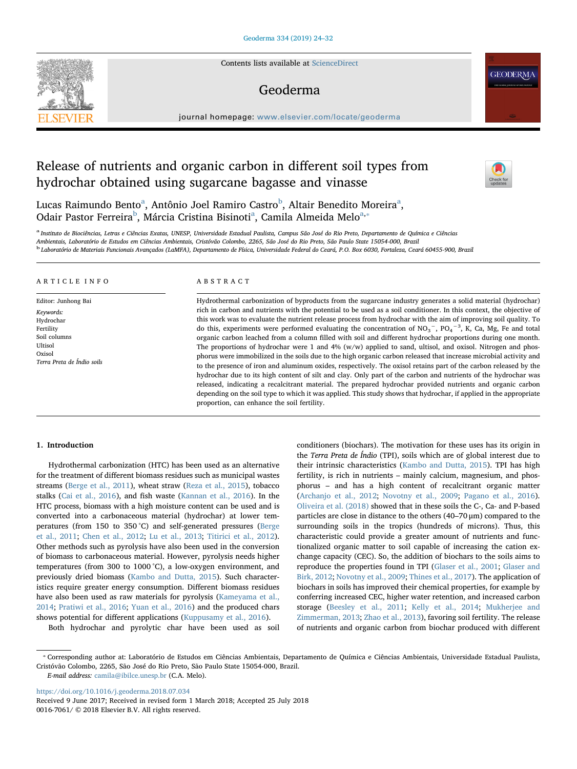Contents lists available at [ScienceDirect](http://www.sciencedirect.com/science/journal/00167061)

### Geoderma

journal homepage: [www.elsevier.com/locate/geoderma](https://www.elsevier.com/locate/geoderma)

## Release of nutrients and organic carbon in different soil types from hydrochar obtained using sugarcane bagasse and vinasse



**GEODERMA** 

Luc[a](#page-0-0)s Raimundo Bento<sup>a</sup>, Antônio Joel Ramiro Castro<sup>[b](#page-0-1)</sup>, Altair Benedito Moreira<sup>a</sup>, Odair Pastor Ferreira<sup>[b](#page-0-1)</sup>, Márci[a](#page-0-0) Cristina Bisinoti<sup>a</sup>, Camila Almeida Melo<sup>[a,](#page-0-0)</sup>\*

<span id="page-0-1"></span><span id="page-0-0"></span><sup>a</sup> Instituto de Biociências, Letras e Ciências Exatas, UNESP, Universidade Estadual Paulista, Campus São José do Rio Preto, Departamento de Química e Ciências<br>Ambientais, Laboratório de Estudos em Ciências Ambientais, Cri <sup>b</sup> Laboratório de Materiais Funcionais Avançados (LaMFA), Departamento de Física, Universidade Federal do Ceará, P.O. Box 6030, Fortaleza, Ceará 60455-900, Brazil

#### ARTICLE INFO

Editor: Junhong Bai Keywords: Hydrochar Fertility Soil columns Ultisol Oxisol Terra Preta de Índio soils

#### ABSTRACT

Hydrothermal carbonization of byproducts from the sugarcane industry generates a solid material (hydrochar) rich in carbon and nutrients with the potential to be used as a soil conditioner. In this context, the objective of this work was to evaluate the nutrient release process from hydrochar with the aim of improving soil quality. To do this, experiments were performed evaluating the concentration of NO<sub>3</sub><sup>-</sup>, PO<sub>4</sub><sup>-3</sup>, K, Ca, Mg, Fe and total organic carbon leached from a column filled with soil and different hydrochar proportions during one month. The proportions of hydrochar were 1 and 4% (w/w) applied to sand, ultisol, and oxisol. Nitrogen and phosphorus were immobilized in the soils due to the high organic carbon released that increase microbial activity and to the presence of iron and aluminum oxides, respectively. The oxisol retains part of the carbon released by the hydrochar due to its high content of silt and clay. Only part of the carbon and nutrients of the hydrochar was released, indicating a recalcitrant material. The prepared hydrochar provided nutrients and organic carbon depending on the soil type to which it was applied. This study shows that hydrochar, if applied in the appropriate proportion, can enhance the soil fertility.

#### 1. Introduction

Hydrothermal carbonization (HTC) has been used as an alternative for the treatment of different biomass residues such as municipal wastes streams [\(Berge et al., 2011\)](#page--1-0), wheat straw [\(Reza et al., 2015](#page--1-1)), tobacco stalks ([Cai et al., 2016](#page--1-2)), and fish waste ([Kannan et al., 2016\)](#page--1-3). In the HTC process, biomass with a high moisture content can be used and is converted into a carbonaceous material (hydrochar) at lower temperatures (from 150 to 350 °C) and self-generated pressures ([Berge](#page--1-0) [et al., 2011;](#page--1-0) [Chen et al., 2012;](#page--1-4) [Lu et al., 2013](#page--1-5); [Titirici et al., 2012](#page--1-6)). Other methods such as pyrolysis have also been used in the conversion of biomass to carbonaceous material. However, pyrolysis needs higher temperatures (from 300 to 1000 °C), a low-oxygen environment, and previously dried biomass [\(Kambo and Dutta, 2015\)](#page--1-7). Such characteristics require greater energy consumption. Different biomass residues have also been used as raw materials for pyrolysis [\(Kameyama et al.,](#page--1-8) [2014;](#page--1-8) [Pratiwi et al., 2016;](#page--1-9) [Yuan et al., 2016](#page--1-10)) and the produced chars shows potential for different applications ([Kuppusamy et al., 2016\)](#page--1-11).

Both hydrochar and pyrolytic char have been used as soil

conditioners (biochars). The motivation for these uses has its origin in the Terra Preta de Índio (TPI), soils which are of global interest due to their intrinsic characteristics ([Kambo and Dutta, 2015](#page--1-7)). TPI has high fertility, is rich in nutrients – mainly calcium, magnesium, and phosphorus – and has a high content of recalcitrant organic matter ([Archanjo et al., 2012](#page--1-12); [Novotny et al., 2009;](#page--1-13) [Pagano et al., 2016](#page--1-14)). [Oliveira et al. \(2018\)](#page--1-15) showed that in these soils the C-, Ca- and P-based particles are close in distance to the others (40–70 μm) compared to the surrounding soils in the tropics (hundreds of microns). Thus, this characteristic could provide a greater amount of nutrients and functionalized organic matter to soil capable of increasing the cation exchange capacity (CEC). So, the addition of biochars to the soils aims to reproduce the properties found in TPI [\(Glaser et al., 2001;](#page--1-16) [Glaser and](#page--1-17) [Birk, 2012](#page--1-17); [Novotny et al., 2009;](#page--1-13) [Thines et al., 2017](#page--1-18)). The application of biochars in soils has improved their chemical properties, for example by conferring increased CEC, higher water retention, and increased carbon storage [\(Beesley et al., 2011;](#page--1-19) [Kelly et al., 2014](#page--1-20); [Mukherjee and](#page--1-21) [Zimmerman, 2013;](#page--1-21) Zhao [et al., 2013\)](#page--1-22), favoring soil fertility. The release of nutrients and organic carbon from biochar produced with different

E-mail address: [camila@ibilce.unesp.br](mailto:camila@ibilce.unesp.br) (C.A. Melo).

<https://doi.org/10.1016/j.geoderma.2018.07.034>

<span id="page-0-2"></span><sup>⁎</sup> Corresponding author at: Laboratório de Estudos em Ciências Ambientais, Departamento de Química e Ciências Ambientais, Universidade Estadual Paulista, Cristóvão Colombo, 2265, São José do Rio Preto, São Paulo State 15054-000, Brazil.

Received 9 June 2017; Received in revised form 1 March 2018; Accepted 25 July 2018 0016-7061/ © 2018 Elsevier B.V. All rights reserved.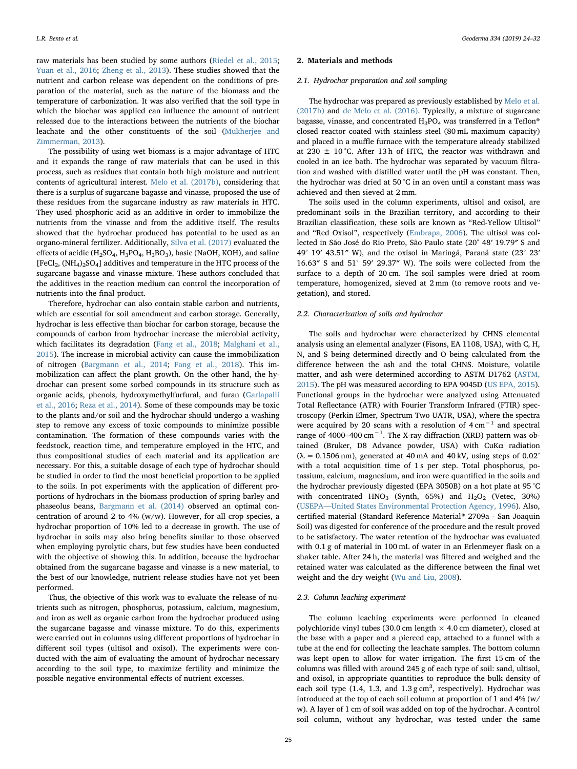raw materials has been studied by some authors [\(Riedel et al., 2015](#page--1-23); [Yuan et al., 2016](#page--1-10); [Zheng et al., 2013\)](#page--1-24). These studies showed that the nutrient and carbon release was dependent on the conditions of preparation of the material, such as the nature of the biomass and the temperature of carbonization. It was also verified that the soil type in which the biochar was applied can influence the amount of nutrient released due to the interactions between the nutrients of the biochar leachate and the other constituents of the soil [\(Mukherjee and](#page--1-21) [Zimmerman, 2013](#page--1-21)).

The possibility of using wet biomass is a major advantage of HTC and it expands the range of raw materials that can be used in this process, such as residues that contain both high moisture and nutrient contents of agricultural interest. [Melo et al. \(2017b\),](#page--1-25) considering that there is a surplus of sugarcane bagasse and vinasse, proposed the use of these residues from the sugarcane industry as raw materials in HTC. They used phosphoric acid as an additive in order to immobilize the nutrients from the vinasse and from the additive itself. The results showed that the hydrochar produced has potential to be used as an organo-mineral fertilizer. Additionally, [Silva et al. \(2017\)](#page--1-26) evaluated the effects of acidic (H<sub>2</sub>SO<sub>4</sub>, H<sub>3</sub>PO<sub>4</sub>, H<sub>3</sub>BO<sub>3</sub>), basic (NaOH, KOH), and saline  $[FeCl<sub>2</sub>, (NH<sub>4</sub>)<sub>2</sub>SO<sub>4</sub>]$  additives and temperature in the HTC process of the sugarcane bagasse and vinasse mixture. These authors concluded that the additives in the reaction medium can control the incorporation of nutrients into the final product.

Therefore, hydrochar can also contain stable carbon and nutrients, which are essential for soil amendment and carbon storage. Generally, hydrochar is less effective than biochar for carbon storage, because the compounds of carbon from hydrochar increase the microbial activity, which facilitates its degradation [\(Fang et al., 2018;](#page--1-27) [Malghani et al.,](#page--1-28) [2015\)](#page--1-28). The increase in microbial activity can cause the immobilization of nitrogen ([Bargmann et al., 2014;](#page--1-29) [Fang et al., 2018](#page--1-27)). This immobilization can affect the plant growth. On the other hand, the hydrochar can present some sorbed compounds in its structure such as organic acids, phenols, hydroxymethylfurfural, and furan ([Garlapalli](#page--1-30) [et al., 2016;](#page--1-30) [Reza et al., 2014\)](#page--1-31). Some of these compounds may be toxic to the plants and/or soil and the hydrochar should undergo a washing step to remove any excess of toxic compounds to minimize possible contamination. The formation of these compounds varies with the feedstock, reaction time, and temperature employed in the HTC, and thus compositional studies of each material and its application are necessary. For this, a suitable dosage of each type of hydrochar should be studied in order to find the most beneficial proportion to be applied to the soils. In pot experiments with the application of different proportions of hydrochars in the biomass production of spring barley and phaseolus beans, [Bargmann et al. \(2014\)](#page--1-29) observed an optimal concentration of around 2 to 4% (w/w). However, for all crop species, a hydrochar proportion of 10% led to a decrease in growth. The use of hydrochar in soils may also bring benefits similar to those observed when employing pyrolytic chars, but few studies have been conducted with the objective of showing this. In addition, because the hydrochar obtained from the sugarcane bagasse and vinasse is a new material, to the best of our knowledge, nutrient release studies have not yet been performed.

Thus, the objective of this work was to evaluate the release of nutrients such as nitrogen, phosphorus, potassium, calcium, magnesium, and iron as well as organic carbon from the hydrochar produced using the sugarcane bagasse and vinasse mixture. To do this, experiments were carried out in columns using different proportions of hydrochar in different soil types (ultisol and oxisol). The experiments were conducted with the aim of evaluating the amount of hydrochar necessary according to the soil type, to maximize fertility and minimize the possible negative environmental effects of nutrient excesses.

#### 2. Materials and methods

#### 2.1. Hydrochar preparation and soil sampling

The hydrochar was prepared as previously established by [Melo et al.](#page--1-25) [\(2017b\)](#page--1-25) and [de Melo et al. \(2016\).](#page--1-32) Typically, a mixture of sugarcane bagasse, vinasse, and concentrated  $H_3PO_4$  was transferred in a Teflon® closed reactor coated with stainless steel (80 mL maximum capacity) and placed in a muffle furnace with the temperature already stabilized at 230  $\pm$  10 °C. After 13 h of HTC, the reactor was withdrawn and cooled in an ice bath. The hydrochar was separated by vacuum filtration and washed with distilled water until the pH was constant. Then, the hydrochar was dried at 50 °C in an oven until a constant mass was achieved and then sieved at 2 mm.

The soils used in the column experiments, ultisol and oxisol, are predominant soils in the Brazilian territory, and according to their Brazilian classification, these soils are known as "Red-Yellow Ultisol" and "Red Oxisol", respectively ([Embrapa, 2006\)](#page--1-33). The ultisol was collected in São José do Rio Preto, São Paulo state (20° 48′ 19.79″ S and 49° 19′ 43.51″ W), and the oxisol in Maringá, Paraná state (23° 23′ 16.63″ S and 51° 59′ 29.37″ W). The soils were collected from the surface to a depth of 20 cm. The soil samples were dried at room temperature, homogenized, sieved at 2 mm (to remove roots and vegetation), and stored.

#### 2.2. Characterization of soils and hydrochar

The soils and hydrochar were characterized by CHNS elemental analysis using an elemental analyzer (Fisons, EA 1108, USA), with C, H, N, and S being determined directly and O being calculated from the difference between the ash and the total CHNS. Moisture, volatile matter, and ash were determined according to ASTM D1762 [\(ASTM,](#page--1-34) [2015\)](#page--1-34). The pH was measured according to EPA 9045D [\(US EPA, 2015](#page--1-29)). Functional groups in the hydrochar were analyzed using Attenuated Total Reflectance (ATR) with Fourier Transform Infrared (FTIR) spectroscopy (Perkin Elmer, Spectrum Two UATR, USA), where the spectra were acquired by 20 scans with a resolution of  $4 \text{ cm}^{-1}$  and spectral range of 4000–400 cm−<sup>1</sup> . The X-ray diffraction (XRD) pattern was obtained (Bruker, D8 Advance powder, USA) with CuKα radiation  $(\lambda = 0.1506$  nm), generated at 40 mA and 40 kV, using steps of 0.02° with a total acquisition time of 1 s per step. Total phosphorus, potassium, calcium, magnesium, and iron were quantified in the soils and the hydrochar previously digested (EPA 3050B) on a hot plate at 95 °C with concentrated  $HNO<sub>3</sub>$  (Synth, 65%) and  $H<sub>2</sub>O<sub>2</sub>$  (Vetec, 30%) (USEPA—[United States Environmental Protection Agency, 1996\)](#page--1-35). Also, certified material (Standard Reference Material® 2709a - San Joaquin Soil) was digested for conference of the procedure and the result proved to be satisfactory. The water retention of the hydrochar was evaluated with 0.1 g of material in 100 mL of water in an Erlenmeyer flask on a shaker table. After 24 h, the material was filtered and weighed and the retained water was calculated as the difference between the final wet weight and the dry weight [\(Wu and Liu, 2008](#page--1-36)).

#### 2.3. Column leaching experiment

The column leaching experiments were performed in cleaned polychloride vinyl tubes (30.0 cm length  $\times$  4.0 cm diameter), closed at the base with a paper and a pierced cap, attached to a funnel with a tube at the end for collecting the leachate samples. The bottom column was kept open to allow for water irrigation. The first 15 cm of the columns was filled with around 245 g of each type of soil: sand, ultisol, and oxisol, in appropriate quantities to reproduce the bulk density of each soil type  $(1.4, 1.3,$  and  $1.3$  g cm<sup>3</sup>, respectively). Hydrochar was introduced at the top of each soil column at proportion of 1 and 4% (w/ w). A layer of 1 cm of soil was added on top of the hydrochar. A control soil column, without any hydrochar, was tested under the same